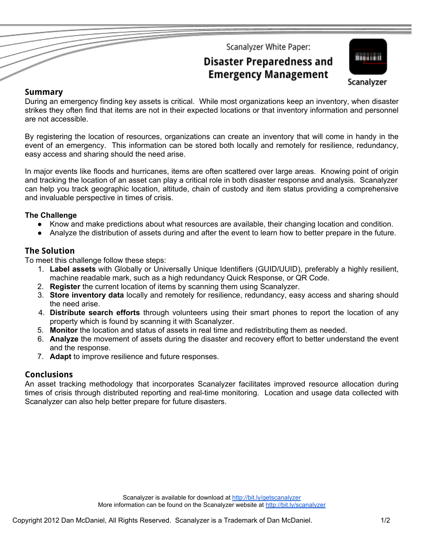Scanalyzer White Paper:

# **Disaster Preparedness and Emergency Management**



#### **Summary**

During an emergency finding key assets is critical. While most organizations keep an inventory, when disaster strikes they often find that items are not in their expected locations or that inventory information and personnel are not accessible.

By registering the location of resources, organizations can create an inventory that will come in handy in the event of an emergency. This information can be stored both locally and remotely for resilience, redundancy, easy access and sharing should the need arise.

In major events like floods and hurricanes, items are often scattered over large areas. Knowing point of origin and tracking the location of an asset can play a critical role in both disaster response and analysis. Scanalyzer can help you track geographic location, altitude, chain of custody and item status providing a comprehensive and invaluable perspective in times of crisis.

#### **The Challenge**

- Know and make predictions about what resources are available, their changing location and condition.
- Analyze the distribution of assets during and after the event to learn how to better prepare in the future.

### **The Solution**

To meet this challenge follow these steps:

- 1. **Label assets** with Globally or Universally Unique Identifiers (GUID/UUID), preferably a highly resilient, machine readable mark, such as a high redundancy Quick Response, or QR Code.
- 2. **Register** the current location of items by scanning them using Scanalyzer.
- 3. **Store inventory data** locally and remotely for resilience, redundancy, easy access and sharing should the need arise.
- 4. **Distribute search efforts** through volunteers using their smart phones to report the location of any property which is found by scanning it with Scanalyzer.
- 5. **Monitor** the location and status of assets in real time and redistributing them as needed.
- 6. **Analyze** the movement of assets during the disaster and recovery effort to better understand the event and the response.
- 7. **Adapt** to improve resilience and future responses.

#### **Conclusions**

An asset tracking methodology that incorporates Scanalyzer facilitates improved resource allocation during times of crisis through distributed reporting and real-time monitoring. Location and usage data collected with Scanalyzer can also help better prepare for future disasters.